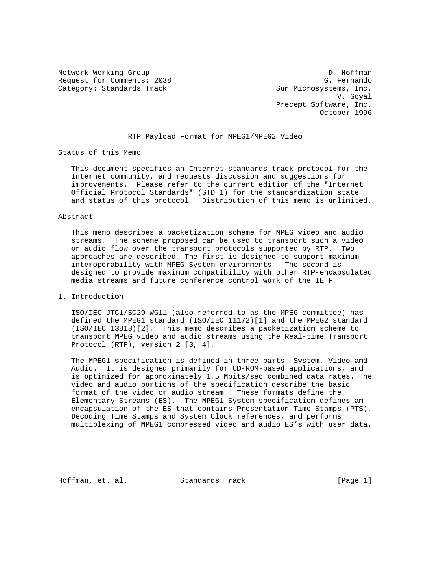Request for Comments: 2038 G. Fernando Category: Standards Track Sun Microsystems, Inc.

Network Working Group D. Hoffman V. Goyal Precept Software, Inc. October 1996

## RTP Payload Format for MPEG1/MPEG2 Video

Status of this Memo

 This document specifies an Internet standards track protocol for the Internet community, and requests discussion and suggestions for improvements. Please refer to the current edition of the "Internet Official Protocol Standards" (STD 1) for the standardization state and status of this protocol. Distribution of this memo is unlimited.

## Abstract

 This memo describes a packetization scheme for MPEG video and audio streams. The scheme proposed can be used to transport such a video or audio flow over the transport protocols supported by RTP. Two approaches are described. The first is designed to support maximum interoperability with MPEG System environments. The second is designed to provide maximum compatibility with other RTP-encapsulated media streams and future conference control work of the IETF.

## 1. Introduction

 ISO/IEC JTC1/SC29 WG11 (also referred to as the MPEG committee) has defined the MPEG1 standard (ISO/IEC 11172)[1] and the MPEG2 standard (ISO/IEC 13818)[2]. This memo describes a packetization scheme to transport MPEG video and audio streams using the Real-time Transport Protocol (RTP), version 2 [3, 4].

 The MPEG1 specification is defined in three parts: System, Video and Audio. It is designed primarily for CD-ROM-based applications, and is optimized for approximately 1.5 Mbits/sec combined data rates. The video and audio portions of the specification describe the basic format of the video or audio stream. These formats define the Elementary Streams (ES). The MPEG1 System specification defines an encapsulation of the ES that contains Presentation Time Stamps (PTS), Decoding Time Stamps and System Clock references, and performs multiplexing of MPEG1 compressed video and audio ES's with user data.

Hoffman, et. al. Standards Track [Page 1]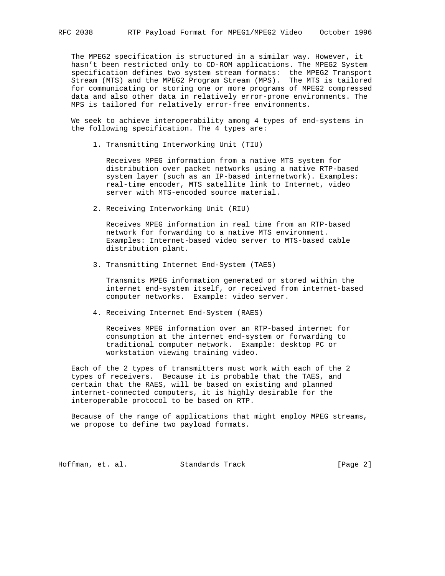The MPEG2 specification is structured in a similar way. However, it hasn't been restricted only to CD-ROM applications. The MPEG2 System specification defines two system stream formats: the MPEG2 Transport Stream (MTS) and the MPEG2 Program Stream (MPS). The MTS is tailored for communicating or storing one or more programs of MPEG2 compressed data and also other data in relatively error-prone environments. The MPS is tailored for relatively error-free environments.

 We seek to achieve interoperability among 4 types of end-systems in the following specification. The 4 types are:

1. Transmitting Interworking Unit (TIU)

 Receives MPEG information from a native MTS system for distribution over packet networks using a native RTP-based system layer (such as an IP-based internetwork). Examples: real-time encoder, MTS satellite link to Internet, video server with MTS-encoded source material.

2. Receiving Interworking Unit (RIU)

 Receives MPEG information in real time from an RTP-based network for forwarding to a native MTS environment. Examples: Internet-based video server to MTS-based cable distribution plant.

3. Transmitting Internet End-System (TAES)

 Transmits MPEG information generated or stored within the internet end-system itself, or received from internet-based computer networks. Example: video server.

4. Receiving Internet End-System (RAES)

 Receives MPEG information over an RTP-based internet for consumption at the internet end-system or forwarding to traditional computer network. Example: desktop PC or workstation viewing training video.

 Each of the 2 types of transmitters must work with each of the 2 types of receivers. Because it is probable that the TAES, and certain that the RAES, will be based on existing and planned internet-connected computers, it is highly desirable for the interoperable protocol to be based on RTP.

 Because of the range of applications that might employ MPEG streams, we propose to define two payload formats.

Hoffman, et. al. Standards Track [Page 2]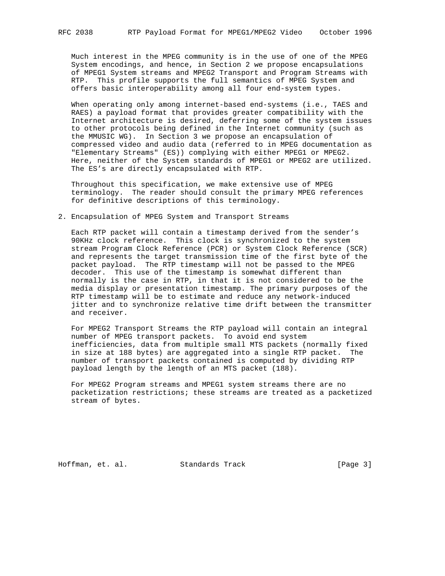Much interest in the MPEG community is in the use of one of the MPEG System encodings, and hence, in Section 2 we propose encapsulations of MPEG1 System streams and MPEG2 Transport and Program Streams with RTP. This profile supports the full semantics of MPEG System and offers basic interoperability among all four end-system types.

When operating only among internet-based end-systems (i.e., TAES and RAES) a payload format that provides greater compatibility with the Internet architecture is desired, deferring some of the system issues to other protocols being defined in the Internet community (such as the MMUSIC WG). In Section 3 we propose an encapsulation of compressed video and audio data (referred to in MPEG documentation as "Elementary Streams" (ES)) complying with either MPEG1 or MPEG2. Here, neither of the System standards of MPEG1 or MPEG2 are utilized. The ES's are directly encapsulated with RTP.

 Throughout this specification, we make extensive use of MPEG terminology. The reader should consult the primary MPEG references for definitive descriptions of this terminology.

2. Encapsulation of MPEG System and Transport Streams

 Each RTP packet will contain a timestamp derived from the sender's 90KHz clock reference. This clock is synchronized to the system stream Program Clock Reference (PCR) or System Clock Reference (SCR) and represents the target transmission time of the first byte of the packet payload. The RTP timestamp will not be passed to the MPEG decoder. This use of the timestamp is somewhat different than normally is the case in RTP, in that it is not considered to be the media display or presentation timestamp. The primary purposes of the RTP timestamp will be to estimate and reduce any network-induced jitter and to synchronize relative time drift between the transmitter and receiver.

 For MPEG2 Transport Streams the RTP payload will contain an integral number of MPEG transport packets. To avoid end system inefficiencies, data from multiple small MTS packets (normally fixed in size at 188 bytes) are aggregated into a single RTP packet. The number of transport packets contained is computed by dividing RTP payload length by the length of an MTS packet (188).

 For MPEG2 Program streams and MPEG1 system streams there are no packetization restrictions; these streams are treated as a packetized stream of bytes.

Hoffman, et. al. Standards Track [Page 3]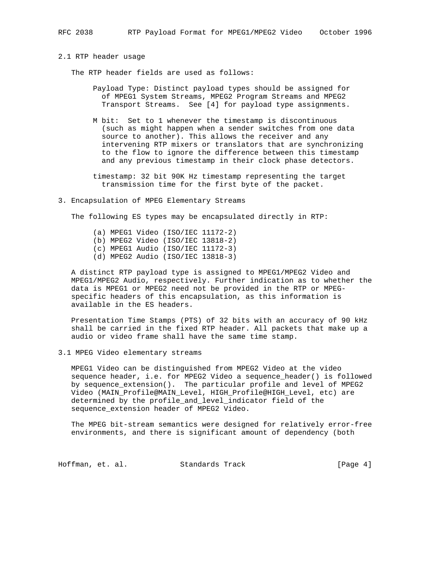2.1 RTP header usage

The RTP header fields are used as follows:

- Payload Type: Distinct payload types should be assigned for of MPEG1 System Streams, MPEG2 Program Streams and MPEG2 Transport Streams. See [4] for payload type assignments.
- M bit: Set to 1 whenever the timestamp is discontinuous (such as might happen when a sender switches from one data source to another). This allows the receiver and any intervening RTP mixers or translators that are synchronizing to the flow to ignore the difference between this timestamp and any previous timestamp in their clock phase detectors.
- timestamp: 32 bit 90K Hz timestamp representing the target transmission time for the first byte of the packet.
- 3. Encapsulation of MPEG Elementary Streams

The following ES types may be encapsulated directly in RTP:

 (a) MPEG1 Video (ISO/IEC 11172-2) (b) MPEG2 Video (ISO/IEC 13818-2) (c) MPEG1 Audio (ISO/IEC 11172-3) (d) MPEG2 Audio (ISO/IEC 13818-3)

 A distinct RTP payload type is assigned to MPEG1/MPEG2 Video and MPEG1/MPEG2 Audio, respectively. Further indication as to whether the data is MPEG1 or MPEG2 need not be provided in the RTP or MPEG specific headers of this encapsulation, as this information is available in the ES headers.

 Presentation Time Stamps (PTS) of 32 bits with an accuracy of 90 kHz shall be carried in the fixed RTP header. All packets that make up a audio or video frame shall have the same time stamp.

3.1 MPEG Video elementary streams

 MPEG1 Video can be distinguished from MPEG2 Video at the video sequence header, i.e. for MPEG2 Video a sequence\_header() is followed by sequence\_extension(). The particular profile and level of MPEG2 Video (MAIN\_Profile@MAIN\_Level, HIGH\_Profile@HIGH\_Level, etc) are determined by the profile\_and\_level\_indicator field of the sequence\_extension header of MPEG2 Video.

 The MPEG bit-stream semantics were designed for relatively error-free environments, and there is significant amount of dependency (both

Hoffman, et. al. Standards Track [Page 4]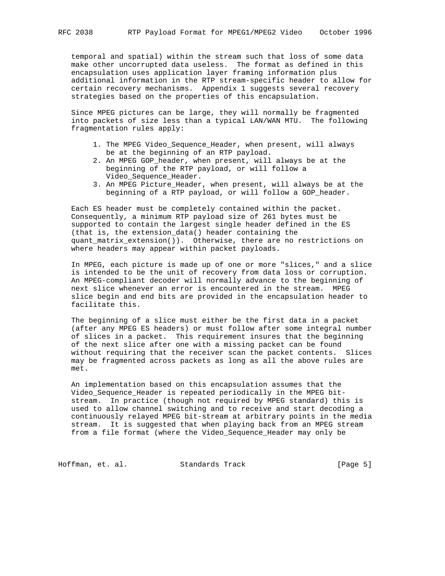temporal and spatial) within the stream such that loss of some data make other uncorrupted data useless. The format as defined in this encapsulation uses application layer framing information plus additional information in the RTP stream-specific header to allow for certain recovery mechanisms. Appendix 1 suggests several recovery strategies based on the properties of this encapsulation.

 Since MPEG pictures can be large, they will normally be fragmented into packets of size less than a typical LAN/WAN MTU. The following fragmentation rules apply:

- 1. The MPEG Video\_Sequence\_Header, when present, will always be at the beginning of an RTP payload.
- 2. An MPEG GOP\_header, when present, will always be at the beginning of the RTP payload, or will follow a Video\_Sequence\_Header.
- 3. An MPEG Picture\_Header, when present, will always be at the beginning of a RTP payload, or will follow a GOP\_header.

 Each ES header must be completely contained within the packet. Consequently, a minimum RTP payload size of 261 bytes must be supported to contain the largest single header defined in the ES (that is, the extension\_data() header containing the quant\_matrix\_extension()). Otherwise, there are no restrictions on where headers may appear within packet payloads.

 In MPEG, each picture is made up of one or more "slices," and a slice is intended to be the unit of recovery from data loss or corruption. An MPEG-compliant decoder will normally advance to the beginning of next slice whenever an error is encountered in the stream. MPEG slice begin and end bits are provided in the encapsulation header to facilitate this.

 The beginning of a slice must either be the first data in a packet (after any MPEG ES headers) or must follow after some integral number of slices in a packet. This requirement insures that the beginning of the next slice after one with a missing packet can be found without requiring that the receiver scan the packet contents. Slices may be fragmented across packets as long as all the above rules are met.

 An implementation based on this encapsulation assumes that the Video\_Sequence\_Header is repeated periodically in the MPEG bit stream. In practice (though not required by MPEG standard) this is used to allow channel switching and to receive and start decoding a continuously relayed MPEG bit-stream at arbitrary points in the media stream. It is suggested that when playing back from an MPEG stream from a file format (where the Video\_Sequence\_Header may only be

Hoffman, et. al. Standards Track [Page 5]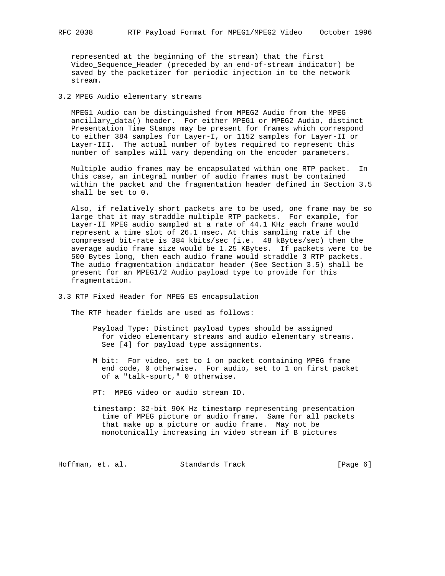represented at the beginning of the stream) that the first Video\_Sequence\_Header (preceded by an end-of-stream indicator) be saved by the packetizer for periodic injection in to the network stream.

3.2 MPEG Audio elementary streams

 MPEG1 Audio can be distinguished from MPEG2 Audio from the MPEG ancillary\_data() header. For either MPEG1 or MPEG2 Audio, distinct Presentation Time Stamps may be present for frames which correspond to either 384 samples for Layer-I, or 1152 samples for Layer-II or Layer-III. The actual number of bytes required to represent this number of samples will vary depending on the encoder parameters.

 Multiple audio frames may be encapsulated within one RTP packet. In this case, an integral number of audio frames must be contained within the packet and the fragmentation header defined in Section 3.5 shall be set to 0.

 Also, if relatively short packets are to be used, one frame may be so large that it may straddle multiple RTP packets. For example, for Layer-II MPEG audio sampled at a rate of 44.1 KHz each frame would represent a time slot of 26.1 msec. At this sampling rate if the compressed bit-rate is 384 kbits/sec (i.e. 48 kBytes/sec) then the average audio frame size would be 1.25 KBytes. If packets were to be 500 Bytes long, then each audio frame would straddle 3 RTP packets. The audio fragmentation indicator header (See Section 3.5) shall be present for an MPEG1/2 Audio payload type to provide for this fragmentation.

3.3 RTP Fixed Header for MPEG ES encapsulation

The RTP header fields are used as follows:

- Payload Type: Distinct payload types should be assigned for video elementary streams and audio elementary streams. See [4] for payload type assignments.
- M bit: For video, set to 1 on packet containing MPEG frame end code, 0 otherwise. For audio, set to 1 on first packet of a "talk-spurt," 0 otherwise.
- PT: MPEG video or audio stream ID.
- timestamp: 32-bit 90K Hz timestamp representing presentation time of MPEG picture or audio frame. Same for all packets that make up a picture or audio frame. May not be monotonically increasing in video stream if B pictures

Hoffman, et. al. Standards Track [Page 6]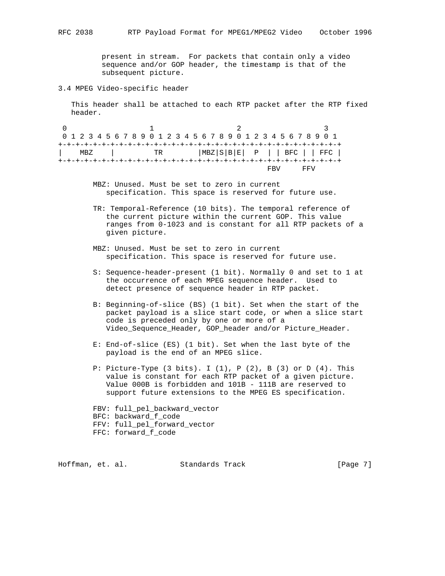present in stream. For packets that contain only a video sequence and/or GOP header, the timestamp is that of the subsequent picture.

## 3.4 MPEG Video-specific header

 This header shall be attached to each RTP packet after the RTP fixed header.

0  $1$  2 3 0 1 2 3 4 5 6 7 8 9 0 1 2 3 4 5 6 7 8 9 0 1 2 3 4 5 6 7 8 9 0 1 +-+-+-+-+-+-+-+-+-+-+-+-+-+-+-+-+-+-+-+-+-+-+-+-+-+-+-+-+-+-+-+-+ | MBZ | TR |MBZ|S|B|E| P | | BFC | | FFC | +-+-+-+-+-+-+-+-+-+-+-+-+-+-+-+-+-+-+-+-+-+-+-+-+-+-+-+-+-+-+-+-+ FBV FFV

- MBZ: Unused. Must be set to zero in current specification. This space is reserved for future use.
- TR: Temporal-Reference (10 bits). The temporal reference of the current picture within the current GOP. This value ranges from 0-1023 and is constant for all RTP packets of a given picture.
- MBZ: Unused. Must be set to zero in current specification. This space is reserved for future use.
- S: Sequence-header-present (1 bit). Normally 0 and set to 1 at the occurrence of each MPEG sequence header. Used to detect presence of sequence header in RTP packet.
- B: Beginning-of-slice (BS) (1 bit). Set when the start of the packet payload is a slice start code, or when a slice start code is preceded only by one or more of a Video\_Sequence\_Header, GOP\_header and/or Picture\_Header.
- E: End-of-slice (ES) (1 bit). Set when the last byte of the payload is the end of an MPEG slice.
- P: Picture-Type  $(3 \text{ bits})$ . I  $(1)$ , P  $(2)$ , B  $(3)$  or D  $(4)$ . This value is constant for each RTP packet of a given picture. Value 000B is forbidden and 101B - 111B are reserved to support future extensions to the MPEG ES specification.
- FBV: full\_pel\_backward\_vector BFC: backward\_f\_code FFV: full\_pel\_forward\_vector
- 
- FFC: forward\_f\_code

Hoffman, et. al. Standards Track [Page 7]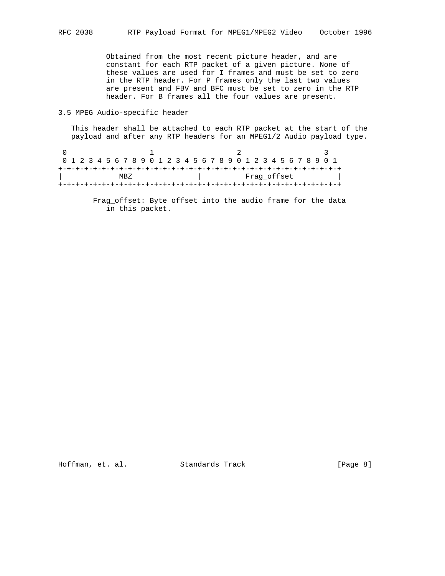Obtained from the most recent picture header, and are constant for each RTP packet of a given picture. None of these values are used for I frames and must be set to zero in the RTP header. For P frames only the last two values are present and FBV and BFC must be set to zero in the RTP header. For B frames all the four values are present.

3.5 MPEG Audio-specific header

 This header shall be attached to each RTP packet at the start of the payload and after any RTP headers for an MPEG1/2 Audio payload type.

| 0 1 2 3 4 5 6 7 8 9 0 1 2 3 4 5 6 7 8 9 0 1 2 3 4 5 6 7 8 9 0 1 |  |  |  |  |  |  |  |  |  |  |  |             |  |  |  |  |  |  |  |  |  |  |  |  |  |  |  |  |  |  |  |
|-----------------------------------------------------------------|--|--|--|--|--|--|--|--|--|--|--|-------------|--|--|--|--|--|--|--|--|--|--|--|--|--|--|--|--|--|--|--|
|                                                                 |  |  |  |  |  |  |  |  |  |  |  |             |  |  |  |  |  |  |  |  |  |  |  |  |  |  |  |  |  |  |  |
| MRZ.                                                            |  |  |  |  |  |  |  |  |  |  |  | Fraq offset |  |  |  |  |  |  |  |  |  |  |  |  |  |  |  |  |  |  |  |
|                                                                 |  |  |  |  |  |  |  |  |  |  |  |             |  |  |  |  |  |  |  |  |  |  |  |  |  |  |  |  |  |  |  |

 Frag\_offset: Byte offset into the audio frame for the data in this packet.

Hoffman, et. al. Standards Track [Page 8]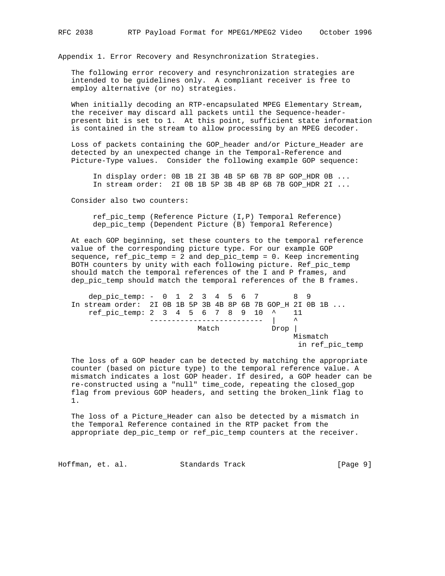Appendix 1. Error Recovery and Resynchronization Strategies.

 The following error recovery and resynchronization strategies are intended to be guidelines only. A compliant receiver is free to employ alternative (or no) strategies.

 When initially decoding an RTP-encapsulated MPEG Elementary Stream, the receiver may discard all packets until the Sequence-header present bit is set to 1. At this point, sufficient state information is contained in the stream to allow processing by an MPEG decoder.

 Loss of packets containing the GOP\_header and/or Picture\_Header are detected by an unexpected change in the Temporal-Reference and Picture-Type values. Consider the following example GOP sequence:

 In display order: 0B 1B 2I 3B 4B 5P 6B 7B 8P GOP\_HDR 0B ... In stream order: 2I 0B 1B 5P 3B 4B 8P 6B 7B GOP\_HDR 2I ...

Consider also two counters:

 ref\_pic\_temp (Reference Picture (I,P) Temporal Reference) dep\_pic\_temp (Dependent Picture (B) Temporal Reference)

 At each GOP beginning, set these counters to the temporal reference value of the corresponding picture type. For our example GOP sequence, ref\_pic\_temp = 2 and dep\_pic\_temp = 0. Keep incrementing BOTH counters by unity with each following picture. Ref\_pic\_temp should match the temporal references of the I and P frames, and dep\_pic\_temp should match the temporal references of the B frames.

dep\_pic\_temp: - 0 1 2 3 4 5 6 7 8 9 In stream order: 2I 0B 1B 5P 3B 4B 8P 6B 7B GOP\_H 2I 0B 1B ...  $ref\_pic\_temp: 2 \ 3 \ 4 \ 5 \ 6 \ 7 \ 8 \ 9 \ 10 \ \stackrel{\wedge}{\cdot} \ 11$  -------------------------- | ^ Match Drop Mismatch in ref\_pic\_temp

 The loss of a GOP header can be detected by matching the appropriate counter (based on picture type) to the temporal reference value. A mismatch indicates a lost GOP header. If desired, a GOP header can be re-constructed using a "null" time\_code, repeating the closed\_gop flag from previous GOP headers, and setting the broken\_link flag to 1.

 The loss of a Picture\_Header can also be detected by a mismatch in the Temporal Reference contained in the RTP packet from the appropriate dep\_pic\_temp or ref\_pic\_temp counters at the receiver.

Hoffman, et. al. Standards Track [Page 9]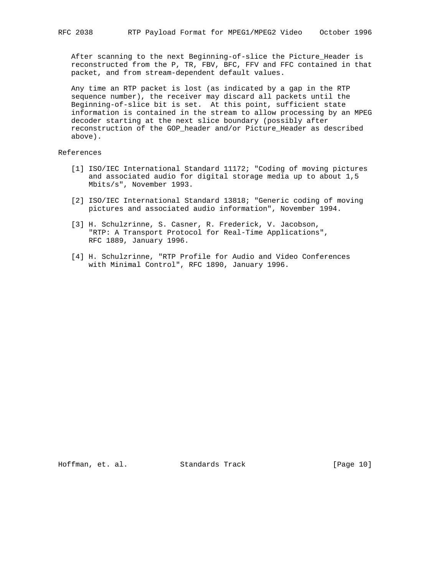After scanning to the next Beginning-of-slice the Picture\_Header is reconstructed from the P, TR, FBV, BFC, FFV and FFC contained in that packet, and from stream-dependent default values.

 Any time an RTP packet is lost (as indicated by a gap in the RTP sequence number), the receiver may discard all packets until the Beginning-of-slice bit is set. At this point, sufficient state information is contained in the stream to allow processing by an MPEG decoder starting at the next slice boundary (possibly after reconstruction of the GOP\_header and/or Picture\_Header as described above).

References

- [1] ISO/IEC International Standard 11172; "Coding of moving pictures and associated audio for digital storage media up to about 1,5 Mbits/s", November 1993.
- [2] ISO/IEC International Standard 13818; "Generic coding of moving pictures and associated audio information", November 1994.
- [3] H. Schulzrinne, S. Casner, R. Frederick, V. Jacobson, "RTP: A Transport Protocol for Real-Time Applications", RFC 1889, January 1996.
- [4] H. Schulzrinne, "RTP Profile for Audio and Video Conferences with Minimal Control", RFC 1890, January 1996.

Hoffman, et. al. Standards Track [Page 10]